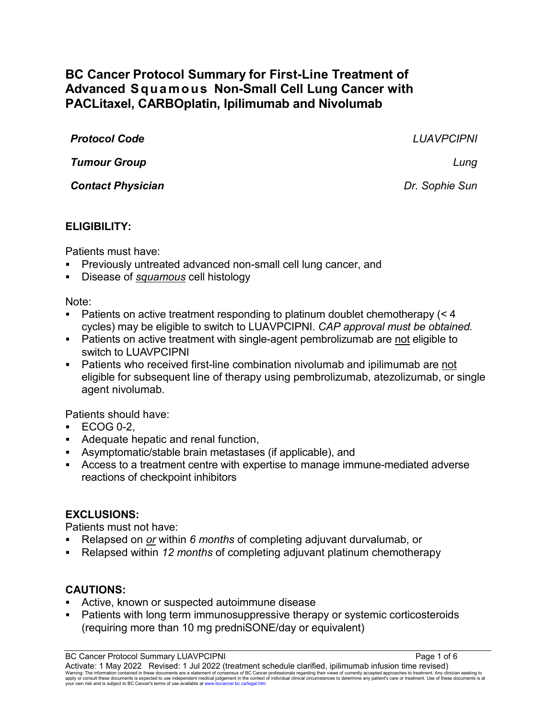# **BC Cancer Protocol Summary for First-Line Treatment of Advanced Squamous Non-Small Cell Lung Cancer with PACLitaxel, CARBOplatin, Ipilimumab and Nivolumab**

| <b>Protocol Code</b>     | <b>LUAVPCIPNI</b> |
|--------------------------|-------------------|
| <b>Tumour Group</b>      | Lung              |
| <b>Contact Physician</b> | Dr. Sophie Sun    |
|                          |                   |

### **ELIGIBILITY:**

Patients must have:

- Previously untreated advanced non-small cell lung cancer, and
- Disease of *squamous* cell histology

Note:

- Patients on active treatment responding to platinum doublet chemotherapy (< 4 cycles) may be eligible to switch to LUAVPCIPNI. *CAP approval must be obtained.*
- Patients on active treatment with single-agent pembrolizumab are not eligible to switch to LUAVPCIPNI
- Patients who received first-line combination nivolumab and ipilimumab are not eligible for subsequent line of therapy using pembrolizumab, atezolizumab, or single agent nivolumab.

Patients should have:

- $ECOG 0-2$
- Adequate hepatic and renal function,
- Asymptomatic/stable brain metastases (if applicable), and
- Access to a treatment centre with expertise to manage immune-mediated adverse reactions of checkpoint inhibitors

# **EXCLUSIONS:**

Patients must not have:

- Relapsed on *or* within *6 months* of completing adjuvant durvalumab, or
- Relapsed within *12 months* of completing adjuvant platinum chemotherapy

# **CAUTIONS:**

- Active, known or suspected autoimmune disease
- Patients with long term immunosuppressive therapy or systemic corticosteroids (requiring more than 10 mg predniSONE/day or equivalent)

BC Cancer Protocol Summary LUAVPCIPNI **Page 1 of 6** Activate: 1 May 2022 Revised: 1 Jul 2022 (treatment schedule clarified, ipilimumab infusion time revised) Warning: The information contained in these documents are a statement of consensus of BC Cancer professionals regarding their views of currently accepted approaches to treatment. Any clinician seeking to<br>apply or consult t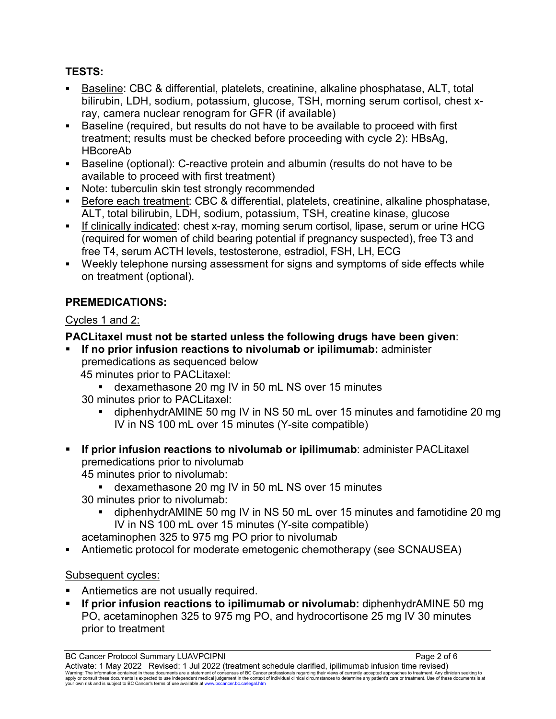# **TESTS:**

- Baseline: CBC & differential, platelets, creatinine, alkaline phosphatase, ALT, total bilirubin, LDH, sodium, potassium, glucose, TSH, morning serum cortisol, chest xray, camera nuclear renogram for GFR (if available)
- Baseline (required, but results do not have to be available to proceed with first treatment; results must be checked before proceeding with cycle 2): HBsAg, HBcoreAb
- Baseline (optional): C-reactive protein and albumin (results do not have to be available to proceed with first treatment)
- Note: tuberculin skin test strongly recommended
- Before each treatment: CBC & differential, platelets, creatinine, alkaline phosphatase, ALT, total bilirubin, LDH, sodium, potassium, TSH, creatine kinase, glucose
- If clinically indicated: chest x-ray, morning serum cortisol, lipase, serum or urine HCG (required for women of child bearing potential if pregnancy suspected), free T3 and free T4, serum ACTH levels, testosterone, estradiol, FSH, LH, ECG
- Weekly telephone nursing assessment for signs and symptoms of side effects while on treatment (optional).

# **PREMEDICATIONS:**

## Cycles 1 and 2:

## **PACLitaxel must not be started unless the following drugs have been given**:

- **If no prior infusion reactions to nivolumab or ipilimumab:** administer premedications as sequenced below
	- 45 minutes prior to PACLitaxel:
		- dexamethasone 20 mg IV in 50 mL NS over 15 minutes
	- 30 minutes prior to PACLitaxel:
		- diphenhydrAMINE 50 mg IV in NS 50 mL over 15 minutes and famotidine 20 mg IV in NS 100 mL over 15 minutes (Y-site compatible)
- **If prior infusion reactions to nivolumab or ipilimumab**: administer PACLitaxel premedications prior to nivolumab 45 minutes prior to nivolumab:
	- dexamethasone 20 mg IV in 50 mL NS over 15 minutes
	- 30 minutes prior to nivolumab:
		- diphenhydrAMINE 50 mg IV in NS 50 mL over 15 minutes and famotidine 20 mg IV in NS 100 mL over 15 minutes (Y-site compatible)

acetaminophen 325 to 975 mg PO prior to nivolumab

Antiemetic protocol for moderate emetogenic chemotherapy (see SCNAUSEA)

### Subsequent cycles:

- Antiemetics are not usually required.
- **If prior infusion reactions to ipilimumab or nivolumab:** diphenhydrAMINE 50 mg PO, acetaminophen 325 to 975 mg PO, and hydrocortisone 25 mg IV 30 minutes prior to treatment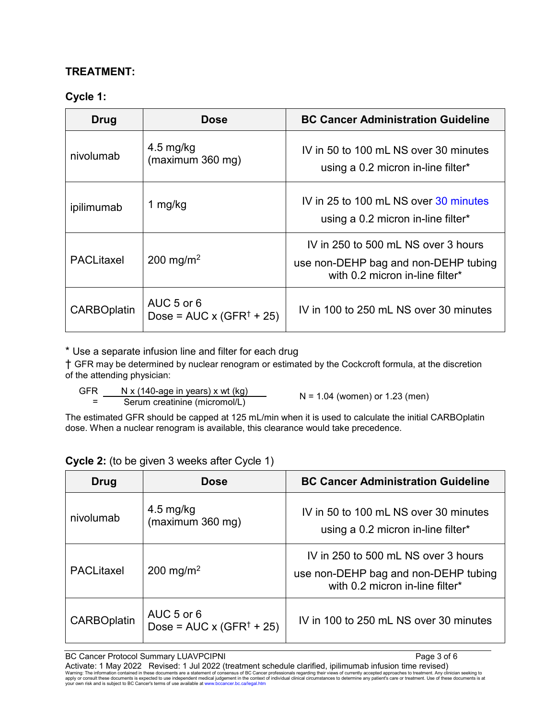#### **TREATMENT:**

#### **Cycle 1:**

| <b>Drug</b>        | <b>Dose</b>                                            | <b>BC Cancer Administration Guideline</b>                                                                      |
|--------------------|--------------------------------------------------------|----------------------------------------------------------------------------------------------------------------|
| nivolumab          | $4.5 \text{ mg/kg}$<br>(maximum 360 mg)                | IV in 50 to 100 mL NS over 30 minutes<br>using a 0.2 micron in-line filter*                                    |
| ipilimumab         | 1 $mg/kg$                                              | IV in 25 to 100 mL NS over 30 minutes<br>using a 0.2 micron in-line filter*                                    |
| <b>PACLitaxel</b>  | 200 mg/m <sup>2</sup>                                  | IV in 250 to 500 mL NS over 3 hours<br>use non-DEHP bag and non-DEHP tubing<br>with 0.2 micron in-line filter* |
| <b>CARBOplatin</b> | AUC 5 or 6<br>Dose = $AUC \times (GFR^{\dagger} + 25)$ | IV in 100 to 250 mL NS over 30 minutes                                                                         |

\* Use a separate infusion line and filter for each drug

† GFR may be determined by nuclear renogram or estimated by the Cockcroft formula, at the discretion of the attending physician:

 GFR =  $N \times (140$ -age in years) x wt (kg)  $N = 1.04$  (women) or 1.23 (men)<br>Serum creatinine (micromol/L)

The estimated GFR should be capped at 125 mL/min when it is used to calculate the initial CARBOplatin dose. When a nuclear renogram is available, this clearance would take precedence.

| <b>Drug</b>        | <b>Dose</b>                                    | <b>BC Cancer Administration Guideline</b>                                                                      |
|--------------------|------------------------------------------------|----------------------------------------------------------------------------------------------------------------|
| nivolumab          | $4.5 \text{ mg/kg}$<br>(maximum 360 mg)        | IV in 50 to 100 mL NS over 30 minutes<br>using a 0.2 micron in-line filter*                                    |
| <b>PACLitaxel</b>  | 200 mg/m <sup>2</sup>                          | IV in 250 to 500 mL NS over 3 hours<br>use non-DEHP bag and non-DEHP tubing<br>with 0.2 micron in-line filter* |
| <b>CARBOplatin</b> | AUC 5 or 6<br>Dose = $AUC \times (GFR^+ + 25)$ | IV in 100 to 250 mL NS over 30 minutes                                                                         |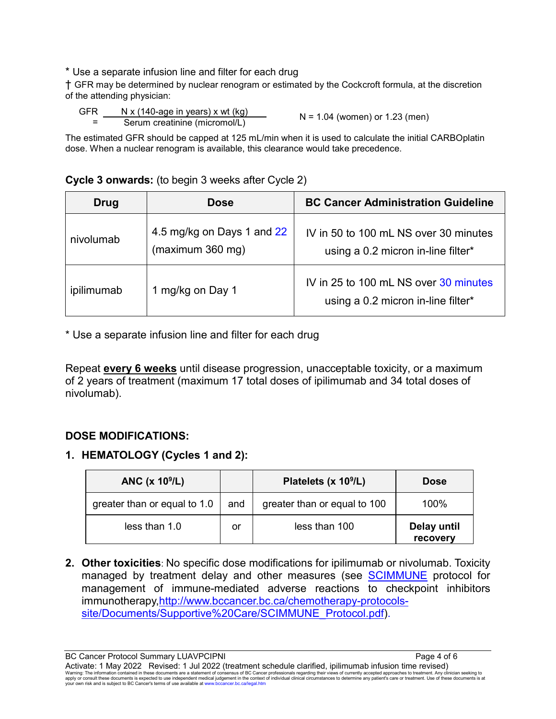\* Use a separate infusion line and filter for each drug

† GFR may be determined by nuclear renogram or estimated by the Cockcroft formula, at the discretion of the attending physician:

 GFR =  $N \times (140$ -age in years) x wt (kg)  $N = 1.04$  (women) or 1.23 (men)<br>Serum creatinine (micromol/L)

The estimated GFR should be capped at 125 mL/min when it is used to calculate the initial CARBOplatin dose. When a nuclear renogram is available, this clearance would take precedence.

#### **Cycle 3 onwards:** (to begin 3 weeks after Cycle 2)

| Drug       | <b>Dose</b>                                    | <b>BC Cancer Administration Guideline</b>                                   |
|------------|------------------------------------------------|-----------------------------------------------------------------------------|
| nivolumab  | 4.5 mg/kg on Days 1 and 22<br>(maximum 360 mg) | IV in 50 to 100 mL NS over 30 minutes<br>using a 0.2 micron in-line filter* |
| ipilimumab | 1 mg/kg on Day 1                               | IV in 25 to 100 mL NS over 30 minutes<br>using a 0.2 micron in-line filter* |

\* Use a separate infusion line and filter for each drug

Repeat **every 6 weeks** until disease progression, unacceptable toxicity, or a maximum of 2 years of treatment (maximum 17 total doses of ipilimumab and 34 total doses of nivolumab).

#### **DOSE MODIFICATIONS:**

### **1. HEMATOLOGY (Cycles 1 and 2):**

| ANC $(x 109/L)$              |     | Platelets (x 10 <sup>9</sup> /L) | <b>Dose</b>             |
|------------------------------|-----|----------------------------------|-------------------------|
| greater than or equal to 1.0 | and | greater than or equal to 100     | 100%                    |
| less than 1.0                | or  | less than 100                    | Delay until<br>recovery |

**2. Other toxicities**: No specific dose modifications for ipilimumab or nivolumab. Toxicity managed by treatment delay and other measures (see [SCIMMUNE](http://www.bccancer.bc.ca/chemotherapy-protocols-site/Documents/Supportive%20Care/SCIMMUNE_Protocol.pdf) protocol for management of immune-mediated adverse reactions to checkpoint inhibitors immunotherapy[,http://www.bccancer.bc.ca/chemotherapy-protocols](http://www.bccancer.bc.ca/chemotherapy-protocols-site/Documents/Supportive%20Care/SCIMMUNE_Protocol.pdf)[site/Documents/Supportive%20Care/SCIMMUNE\\_Protocol.pdf\)](http://www.bccancer.bc.ca/chemotherapy-protocols-site/Documents/Supportive%20Care/SCIMMUNE_Protocol.pdf).

BC Cancer Protocol Summary LUAVPCIPNI **Page 4 of 6** Activate: 1 May 2022 Revised: 1 Jul 2022 (treatment schedule clarified, ipilimumab infusion time revised) Warning: The information contained in these documents are a statement of consensus of BC Cancer professionals regarding their views of currently accepted approaches to treatment. Any clinician seeking to<br>apply or consult t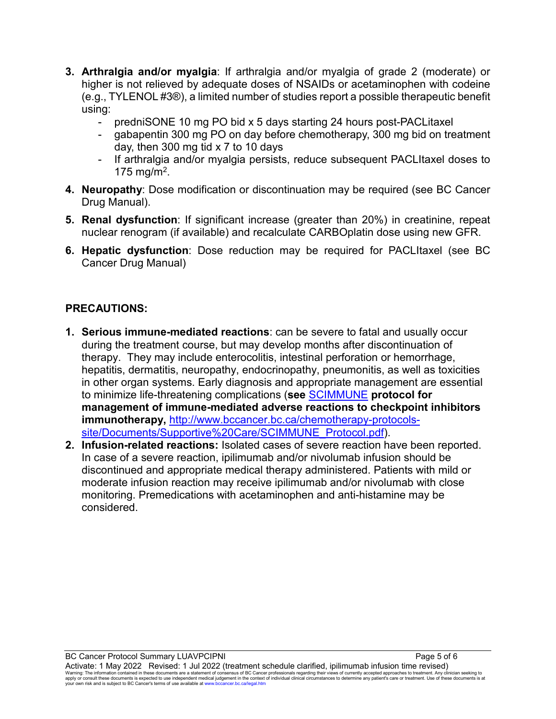- **3. Arthralgia and/or myalgia**: If arthralgia and/or myalgia of grade 2 (moderate) or higher is not relieved by adequate doses of NSAIDs or acetaminophen with codeine (e.g., TYLENOL #3®), a limited number of studies report a possible therapeutic benefit using:
	- predniSONE 10 mg PO bid x 5 days starting 24 hours post-PACLitaxel
	- gabapentin 300 mg PO on day before chemotherapy, 300 mg bid on treatment day, then 300 mg tid x 7 to 10 days
	- If arthralgia and/or myalgia persists, reduce subsequent PACLItaxel doses to 175 mg/m<sup>2</sup>.
- **4. Neuropathy**: Dose modification or discontinuation may be required (see BC Cancer Drug Manual).
- **5. Renal dysfunction**: If significant increase (greater than 20%) in creatinine, repeat nuclear renogram (if available) and recalculate CARBOplatin dose using new GFR.
- **6. Hepatic dysfunction**: Dose reduction may be required for PACLItaxel (see BC Cancer Drug Manual)

#### **PRECAUTIONS:**

- **1. Serious immune-mediated reactions**: can be severe to fatal and usually occur during the treatment course, but may develop months after discontinuation of therapy. They may include enterocolitis, intestinal perforation or hemorrhage, hepatitis, dermatitis, neuropathy, endocrinopathy, pneumonitis, as well as toxicities in other organ systems. Early diagnosis and appropriate management are essential to minimize life-threatening complications (**see** [SCIMMUNE](http://www.bccancer.bc.ca/chemotherapy-protocols-site/Documents/Supportive%20Care/SCIMMUNE_Protocol.pdf) **protocol for management of immune-mediated adverse reactions to checkpoint inhibitors immunotherapy,** [http://www.bccancer.bc.ca/chemotherapy-protocols](http://www.bccancer.bc.ca/chemotherapy-protocols-site/Documents/Supportive%20Care/SCIMMUNE_Protocol.pdf)[site/Documents/Supportive%20Care/SCIMMUNE\\_Protocol.pdf\)](http://www.bccancer.bc.ca/chemotherapy-protocols-site/Documents/Supportive%20Care/SCIMMUNE_Protocol.pdf).
- **2. Infusion-related reactions:** Isolated cases of severe reaction have been reported. In case of a severe reaction, ipilimumab and/or nivolumab infusion should be discontinued and appropriate medical therapy administered. Patients with mild or moderate infusion reaction may receive ipilimumab and/or nivolumab with close monitoring. Premedications with acetaminophen and anti-histamine may be considered.